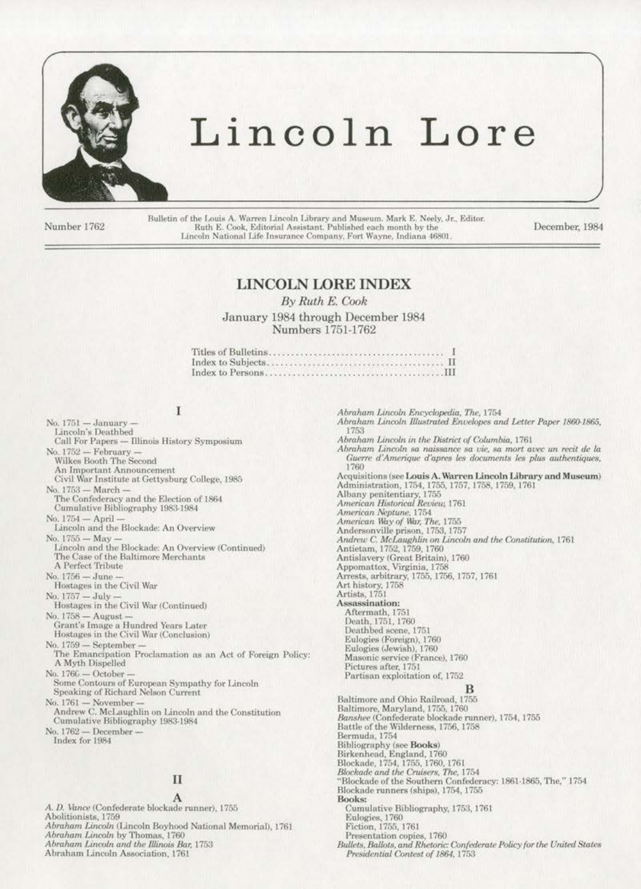

# Lincoln Lore

Number 1762

Bulletin of the Louis A. Warren Lincoln Library and Museum. Mark E. Neely, Jr., Editor. Ruth E. Cook, Editorial Assistant. Published each month by the Lincoln National Life Insurance Company, Fort Wayne, Indiana 46801

December, 1984

# **LINCOLN LORE INDEX**

By Ruth E. Cook

January 1984 through December 1984 Numbers 1751-1762

# I

No. 1751 — January -<br>Lincoln's Deathbed Call For Papers - Illinois History Symposium No. 1752 — February —<br>Wilkes Booth The Second An Important Announcement Civil War Institute at Gettysburg College, 1985 No. 1753 - March -The Confederacy and the Election of 1864<br>Cumulative Bibliography 1983-1984 No. 1754 - April Lincoln and the Blockade: An Overview No. 1755 - May Lincoln and the Blockade: An Overview (Continued) The Case of the Baltimore Merchants A Perfect Tribute No. 1756 - June Hostages in the Civil War No. 1757 - July -Hostages in the Civil War (Continued) No. 1758 - August Grant's Image a Hundred Years Later Hostages in the Civil War (Conclusion) No. 1759 - September The Emancipation Proclamation as an Act of Foreign Policy: A Myth Dispelled No. 1766 - October Some Contours of European Sympathy for Lincoln<br>Speaking of Richard Nelson Current No. 1761 - November Andrew C. McLaughlin on Lincoln and the Constitution Cumulative Bibliography 1983-1984 No. 1762 - December-Index for 1984  $\mathbf{I}$ A A. D. Vance (Confederate blockade runner), 1755 Abolitionists, 1759 Abraham Lincoln (Lincoln Boyhood National Memorial), 1761 Abraham Lincoln by Thomas, 1760

Abraham Lincoln and the Illinois Bar, 1753

Abraham Lincoln Association, 1761

Abraham Lincoln Encyclopedia, The, 1754 Abraham Lincoln Illustrated Envelopes and Letter Paper 1860-1865, 1753 Abraham Lincoln in the District of Columbia, 1761 Abraham Lincoln sa naissance sa vie, sa mort avec un recit de la Guerre d'Amerique d'apres les documents les plus authentiques, 1760 Acquisitions (see Louis A. Warren Lincoln Library and Museum) Administration, 1754, 1755, 1757, 1758, 1759, 1761 Albany penitentiary, 1755 American Historical Review, 1761 American Neptune, 1754 American Way of War, The, 1755 Andersonville prison, 1753, 1757<br>Andrew C. McLaughlin on Lincoln and the Constitution, 1761 Antietam, 1752, 1759, 1760 Antislavery (Great Britain), 1760 Appomattox, Virginia, 1758 Apponatos, virginia, 1756, 1757, 1761<br>Arrests, arbitrary, 1755, 1756, 1757, 1761<br>Art history, 1758<br>Artists, 1751<br>Assassination: Aftermath, 1751<br>Death, 1751, 1760 Deathbed scene, 1751 Eulogies (Foreign), 1760 Eulogies (Jewish), 1760<br>Masonic service (France), 1760 Pictures after, 1751 Partisan exploitation of, 1752 в Baltimore and Ohio Railroad, 1755 Baltimore, Maryland, 1755, 1760 Banshee (Confederate blockade runner), 1754, 1755 Battle of the Wilderness, 1756, 1758 Bermuda, 1754 Bibliography (see Books) Bibliography (see Doors)<br>Birkenhead, England, 1760<br>Blockade, 1754, 1755, 1760, 1761<br>Blockade and the Cruisers, The, 1754<br>"Blockade of the Southern Confederacy: 1861-1865, The," 1754 Blockade runners (ships), 1754, 1755 Books: Cumulative Bibliography, 1753, 1761 Eulogies, 1760 Fiction, 1755, 1761 Presentation copies, 1760 Bullets, Ballots, and Rhetoric: Confederate Policy for the United States Presidential Contest of 1864, 1753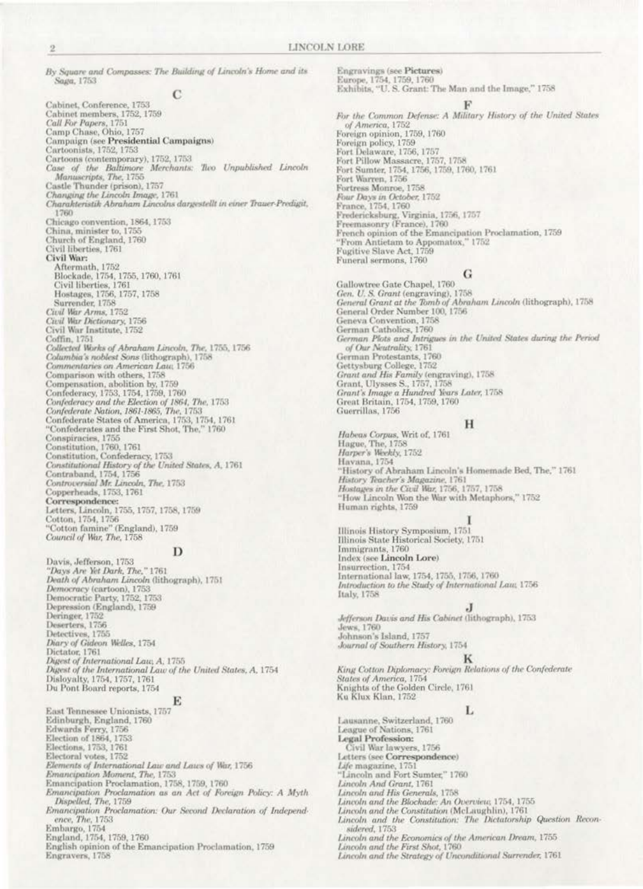LINCOLN LORE

Engravings (see Pictures)

By Square and Compasses: The Building of Lincoln's Home and its Saga, 1753

### С

Cabinet, Conference, 1753 Cabinet members, 1752, 1759 Call For Papers, 1751 Camp Chase, Ohio, 1757 Campaign (see Presidential Campaigns)<br>Cartoonists, 1752, 1753<br>Cartoons (contemporary), 1752, 1753<br>Cartoons (contemporary), 1752, 1753 Case of the Baltimore Merchants: Two Unpublished Lincoln Manuscripts, The, 1755 Castle Thunder (prison), 1757 Changing the Lincoln Image, 1761 Charakteristik Abraham Lincolns dargestellt in einer Trauer-Predigit, 1760 Chicago convention, 1864, 1753 China, minister to, 1755 Church of England, 1760 Civil liberties, 1761 Civil War: Aftermath, 1752<br>Blockade, 1754, 1755, 1760, 1761 Civil liberties, 1761 Hostages, 1756, 1757, 1758<br>Surrender, 1758 Civil War Arms, 1752<br>Civil War Dictionary, 1756<br>Civil War Institute, 1752 Coffin, 1751 Collected Works of Abraham Lincoln, The, 1755, 1756<br>Collected Works of Abraham Lincoln, 1758<br>Commentaries on American Law, 1756 Comparison with others, 1758 Compensation, abolition by, 1759 Confederacy, 1753, 1754, 1759, 1760<br>Confederacy and the Election of 1864, The, 1753 Confederate Nation, 1861-1865, The, 1753 Confederate States of America, 1753, 1754, 1761 "Confederates and the First Shot, The," 1760 Conspiracies, 1755 Conspiracies, 1755<br>
Constitution, 1760, 1761<br>
Constitution, Confederacy, 1753<br>
Constitutional History of the United States, A, 1761<br>
Constitutional History of the United States, A, 1761<br>
Controversial Mr. Lincoln, The, 17

#### D

Davis, Jefferson, 1753 "Days Are Yet Dark, The," 1761 Death of Abraham Lincoln (lithograph), 1751 Democracy (cartoon), 1753 Democratic Party, 1752, 1753<br>Depression (England), 1759 Deringer, 1752 Deringer, 1756<br>Detectives, 1756<br>Detectives, 1755<br>Digry of Gideon Welles, 1754<br>Digest of International Law, A, 1755<br>Digest of International Law, A, 1755 Digest of the International Law of the United States, A, 1754<br>Disloyalty, 1754, 1757, 1761 Du Pont Board reports, 1754

### Е

East Tennessee Unionists, 1757 Edinburgh, England, 1760 Edwards Ferry, 1756<br>Election of 1864, 1753 Elections, 1753, 1761 Electoral votes, 1752 Elements of International Law and Laws of War, 1756 Emancipation Moment, The, 1753 Emancipation Proclamation, 1758, 1759, 1760 Emancipation Proclamation as an Act of Foreign Policy: A Myth Dispelled, The, 1759 Emancipation Proclamation: Our Second Declaration of Independence, The, 1753 Embargo, 1754<br>England, 1754, 1759, 1760 English opinion of the Emancipation Proclamation, 1759

Engravers, 1758

Europe, 1754, 1759, 1760<br>Exhibits, "U. S. Grant: The Man and the Image," 1758 F For the Common Defense: A Military History of the United States of America, 1752 Foreign opinion, 1759, 1760 Foreign policy, 1759 Fort Delaware, 1756, 1757 Fort Pillow Massacre, 1757, 1758 Fort Sumter, 1754, 1756, 1759, 1760, 1761 Fort Warren, 1756 Fortress Monroe, 1758 Four Days in October, 1752<br>France, 1754, 1760 France, 1759, Virginia, 1756, 1757<br>Freemasonry (France), 1760<br>French opinion of the Emancipation Proclamation, 1759<br>"From Antietam to Appomatox," 1752 Fugitive Slave Act, 1759 Funeral sermons, 1760 G

Gallowtree Gate Chapel, 1760 Gen. U. S. Grant (engraving), 1758<br>General Grant at the Tomb of Abraham Lincoln (lithograph), 1758 General Order Number 100, 1756 Geneva Convention, 1758 German Catholics, 1760 German Plots and Intrigues in the United States during the Period of Our Neutrality, 1761 German Protestants, 1760<br>Gettysburg College, 1752 Grant and His Family (engraving), 1758<br>Grant, Ulysses S., 1757, 1758 Grant's Image a Hundred Years Later, 1758<br>Great Britain, 1754, 1759, 1760 Guerrillas, 1756

#### $H$

Habeas Corpus, Writ of, 1761<br>Hague, The, 1758<br>Harper's Weekly, 1752 Havana, 1754 "History of Abraham Lincoln's Homemade Bed, The," 1761 History Teacher's Magazine, 1761<br>Hostages in the Civil War, 1756, 1757, 1758 'How Lincoln Won the War with Metaphors," 1752 Human rights, 1759

Illinois History Symposium, 1751 Illinois State Historical Society, 1751<br>Immigrants, 1760 Index (see Lincoln Lore) Insurrection, 1754 International law, 1754, 1755, 1756, 1760 Introduction to the Study of International Law, 1756 Italy, 1758

### л

Jefferson Davis and His Cabinet (lithograph), 1753 Jews, 1760. Johnson's Island, 1757 Journal of Southern History, 1754

King Cotton Diplomacy: Foreign Relations of the Confederate<br>States of America, 1754 Knights of the Golden Circle, 1761 Ku Klux Klan, 1752

### Б

Lausanne, Switzerland, 1760 League of Nations, 1761 **Legal Profession:** Civil War lawyers, 1756 Letters (see Correspondence) Life magazine, 1751 "Lincoln and Fort Sumter," 1760 Lincoln And Grant, 1761 Lincoln and His Generals, 1758 Lincoln and the Blockade: An Overview, 1754, 1755 Lincoln and the Constitution (McLaughlin), 1761 Lincoln and the Constitution: The Dictatorship Question Reconsidered, 1753 Lincoln and the Economics of the American Dream, 1755 Lincoln and the First Shot, 1760<br>Lincoln and the Strategy of Unconditional Surrender, 1761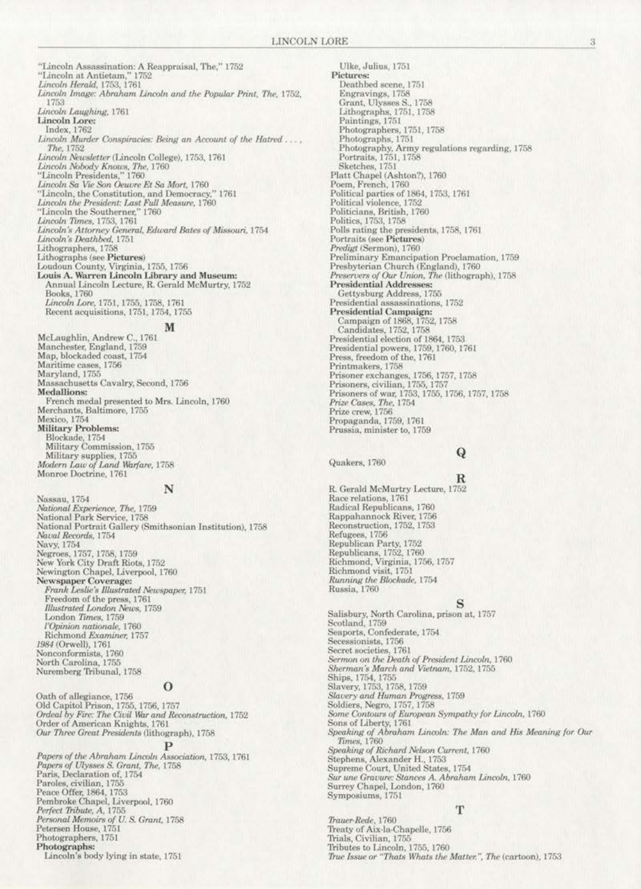"Lincoln Assassination: A Reappraisal, The," 1752<br>"Lincoln at Antietam," 1752<br>*Lincoln Herald*, 1753, 1761<br>*Lincoln Image: Abraham Lincoln and the Popular Print, The,* 1752, 1753 Lincoln Laughing, 1761 Lincoln Lore: Index, 1762 Lincoln Murder Conspiracies: Being an Account of the Hatred .... The, 1752 Lincoln Newsletter (Lincoln College), 1753, 1761 Lincoln Nobody Knows, The, 1760<br>"Lincoln Presidents," 1760 Lincoln Fresidents, 1760<br>Tincoln Sa Vie Son Oeuvre Et Sa Mort, 1760<br>"Lincoln, the Constitution, and Democracy," 1761<br>Lincoln the President: Last Full Measure, 1760<br>"Lincoln the Southerner," 1760 Lincoln Times, 1753, 1761<br>Lincoln's Attorney General, Edward Bates of Missouri, 1754<br>Lincoln's Deathbed, 1751 Lithographers, 1758 Lithographs (see Pictures)<br>Loudoun County, Virginia, 1755, 1756<br>Louis A. Warren Lincoln Library and Museum: Annual Lincoln Lecture, R. Gerald McMurtry, 1752 Books, 1760 Lincoln Lore, 1751, 1755, 1758, 1761 Recent acquisitions, 1751, 1754, 1755 M

McLaughlin, Andrew C., 1761 Manchester, England, 1759 Map, blockaded coast, 1754 Maritime cases, 1756 Maryland, 1755 Massachusetts Cavalry, Second, 1756 **Medallions:** Medianons:<br>French medal presented to Mrs. Lincoln, 1760<br>Merchants, Baltimore, 1755<br>Mexico, 1754<br>Military Problems:<br>Blockade, 1754<br>Military Problems:<br>Military Problems: Military Commission, 1755 Military supplies, 1755<br>Modern Law of Land Warfare, 1758 Monroe Doctrine, 1761

#### N

Nassau, 1754<br>*National Experience, The,* 1759<br>National Park Service, 1758<br>National Portrait Gallery (Smithsonian Institution), 1758 Naval Records, 1754 Navy, 1754<br>Negroes, 1757, 1758, 1759<br>New York City Draft Riots, 1752<br>Newington Chapel, Liverpool, 1760 Newspaper Coverage:<br>Frank Leslie's Illustrated Newspaper, 1751 Freedom of the press, 1761<br>Illustrated London News, 1759 London Times, 1759<br>
London Times, 1759<br>
l'Opinion nationale, 1760<br>
Richmond Examiner, 1757<br>
1984 (Orwell), 1761 Nonconformists, 1760<br>North Carolina, 1755<br>Nuremberg Tribunal, 1758

### $\Omega$

Oath of allegiance, 1756 Old Capitol Prison, 1755, 1756, 1757<br>Ordeal by Fire: The Civil War and Reconstruction, 1752 Order of American Knights, 1761<br>Our Three Great Presidents (lithograph), 1758

Papers of the Abraham Lincoln Association, 1753, 1761 Papers of Ulysses S. Grant, The, 1758<br>Paris, Declaration of, 1754 Fans, Deciaration or, 1755<br>Paroles, civilian, 1755<br>Peace Offer, 1864, 1753<br>Pembroke Chapel, Liverpool, 1760<br>*Perfect Tribute, A*, 1755<br>*Personal Memoirs of U. S. Grant*, 1758<br>Petersen House, 1751 Photographers, 1751 Photographs: Lincoln's body lying in state, 1751

Ulke, Julius, 1751<br>Pictures: Deathbed scene, 1751 Engravings, 1758<br>Grant, Ulysses S., 1758<br>Lithographs, 1751, 1758 Paintings, 1751 Photographers, 1751, 1758 Photographs, 1751<br>Photography, Army regulations regarding, 1758<br>Portraits, 1751, 1758 Sketches, 1751<br>Platt Chapel (Ashton?), 1760 Platt Chapel (Ashton?), 1760<br>Poem, French, 1760<br>Political parties of 1864, 1753, 1761<br>Political violence, 1752<br>Political violence, 1752<br>Politicians, British, 1760<br>Politics, 1753, 1758<br>Politics, 1753, 1758<br>Portaits (see Pic Predigt (Sermon), 1760 Preliminary Emancipation Proclamation, 1759<br>Presbyterian Church (England), 1760 Preservers of Our Union, The (lithograph), 1758 **Presidential Addresses:**  $\begin{array}{c} \text{Gettysburg Address, 1755} \\ \text{Presidential assassinations, 1752} \\ \text{Presidential Campaign:} \end{array}$ r residential Campaign:<br>
Campaign of 1868, 1752, 1758<br>
Candidates, 1752, 1758<br>
Presidential election of 1864, 1753<br>
Presidential powers, 1759, 1760, 1761<br>
Prisoner exchange 1756, 1757<br>
Prisoner exchange 1756, 1757 Frimmakers, 176, 1756, 1757, 1758<br>Prisoners, civilian, 1755, 1757<br>Prisoners of war, 1755, 1755, 1756, 1757, 1758<br>*Prize Cases, The*, 1754<br>Prize crew, 1756 Propaganda, 1759, 1761 Prussia, minister to, 1759

Quakers, 1760

# Q  $_{\rm R}$

R. Gerald McMurtry Lecture, 1752 Race relations, 1761 Radical Republicans, 1760 Rappahannock River, 1756 Reconstruction, 1752, 1753 Refugees, 1756<br>Republican Party, 1752<br>Republicans, 1752, 1760<br>Richmond, Virginia, 1756, 1757<br>Republicans, 1752, 1766, 1757 Richmond visit, 1751<br>*Running the Blockade*, 1754<br>Russia, 1760

Salisbury, North Carolina, prison at, 1757<br>Scotland, 1759<br>Seaports, Confederate, 1754 Secessionists, 1756<br>Secret societies, 1761 Secret societies, 1701<br>Serman's March and Vietnam, 1752, 1755<br>Sherman's March and Vietnam, 1752, 1755 Ships, 1754, 1755<br>Slavery, 1753, 1758, 1759<br>*Slavery and Human Progress*, 1759 Soldiers, Negro, 1757, 1758<br>Some Contours of European Sympathy for Lincoln, 1760 Sons of Liberty, 1761 Speaking of Abraham Lincoln: The Man and His Meaning for Our Times, 1760 Speaking of Richard Nelson Current, 1760 Stephens, Alexander H., 1753<br>Supreme Court, United States, 1754 Sur une Gravure: Stances A. Abraham Lincoln, 1760<br>Surrey Chapel, London, 1760 Symposiums, 1751

### T

Trauer-Rede, 1760 Treaty of Aix-la-Chapelle, 1756 Trials, Civilian, 1755 Tributes to Lincoln, 1755, 1760 True Issue or "Thats Whats the Matter.", The (cartoon), 1753